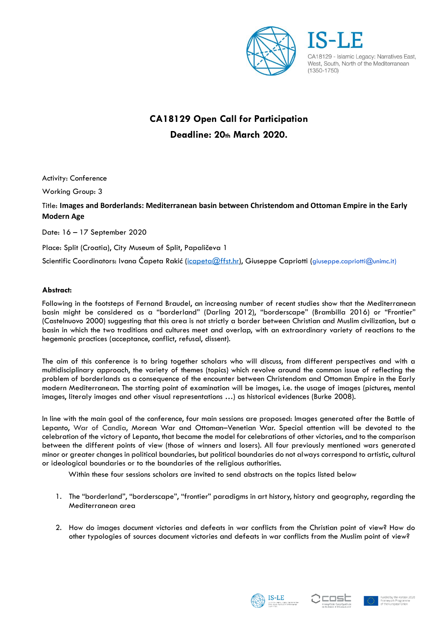

CA18129 - Islamic Legacy: Narratives East, West, South, North of the Mediterranean  $(1350 - 1750)$ 

# **CA18129 Open Call for Participation Deadline: 20th March 2020.**

Activity: Conference

Working Group: 3

## Title: **Images and Borderlands: Mediterranean basin between Christendom and Ottoman Empire in the Early Modern Age**

Date: 16 – 17 September 2020

Place: Split (Croatia), City Museum of Split, Papaličeva 1

Scientific Coordinators: Ivana Čapeta Rakić ([icapeta@ffst.hr\)](mailto:icapeta@ffst.hr), Giuseppe Capriotti (giuseppe.capriotti@unimc.it)

### **Abstract:**

Following in the footsteps of Fernand Braudel, an increasing number of recent studies show that the Mediterranean basin might be considered as a "borderland" (Darling 2012), "borderscape" (Brambilla 2016) or "Frontier" (Castelnuovo 2000) suggesting that this area is not strictly a border between Christian and Muslim civilization, but a basin in which the two traditions and cultures meet and overlap, with an extraordinary variety of reactions to the hegemonic practices (acceptance, conflict, refusal, dissent).

The aim of this conference is to bring together scholars who will discuss, from different perspectives and with a multidisciplinary approach, the variety of themes (topics) which revolve around the common issue of reflecting the problem of borderlands as a consequence of the encounter between Christendom and Ottoman Empire in the Early modern Mediterranean. The starting point of examination will be images, i.e. the usage of images (pictures, mental images, literaly images and other visual representations …) as historical evidences (Burke 2008).

In line with the main goal of the conference, four main sessions are proposed: Images generated after the Battle of Lepanto, War of Candia, Morean War and Ottoman–Venetian War. Special attention will be devoted to the celebration of the victory of Lepanto, that became the model for celebrations of other victories, and to the comparison between the different points of view (those of winners and losers). All four previously mentioned wars generated minor or greater changes in political boundaries, but political boundaries do not always correspond to artistic, cultural or ideological boundaries or to the boundaries of the religious authorities.

Within these four sessions scholars are invited to send abstracts on the topics listed below

- 1. The "borderland", "borderscape", "frontier" paradigms in art history, history and geography, regarding the Mediterranean area
- 2. How do images document victories and defeats in war conflicts from the Christian point of view? How do other typologies of sources document victories and defeats in war conflicts from the Muslim point of view?